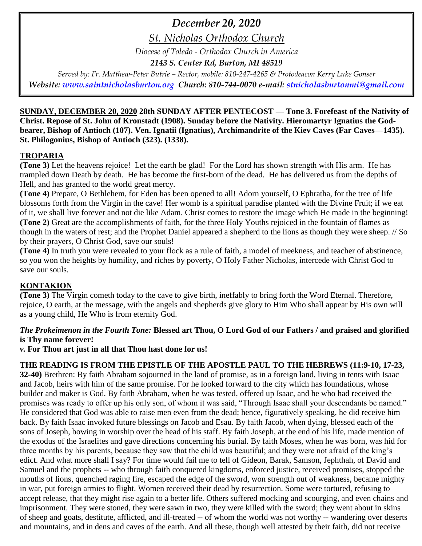# *December 20, 2020*

*St. Nicholas Orthodox Church*

*Diocese of Toledo - Orthodox Church in America*

*2143 S. Center Rd, Burton, MI 48519*

*Served by: Fr. Matthew-Peter Butrie – Rector, mobile: 810-247-4265 & Protodeacon Kerry Luke Gonser Website: [www.saintnicholasburton.org](http://www.saintnicholasburton.org/) Church: 810-744-0070 e-mail: [stnicholasburtonmi@gmail.com](mailto:stnicholasburtonmi@gmail.com)*

### **SUNDAY, DECEMBER 20, 2020 28th SUNDAY AFTER PENTECOST — Tone 3. Forefeast of the Nativity of Christ. Repose of St. John of Kronstadt (1908). Sunday before the Nativity. Hieromartyr Ignatius the Godbearer, Bishop of Antioch (107). Ven. Ignatii (Ignatius), Archimandrite of the Kiev Caves (Far Caves—1435). St. Philogonius, Bishop of Antioch (323). (1338).**

# **TROPARIA**

**(Tone 3)** Let the heavens rejoice! Let the earth be glad! For the Lord has shown strength with His arm. He has trampled down Death by death. He has become the first-born of the dead. He has delivered us from the depths of Hell, and has granted to the world great mercy.

**(Tone 4)** Prepare, O Bethlehem, for Eden has been opened to all! Adorn yourself, O Ephratha, for the tree of life blossoms forth from the Virgin in the cave! Her womb is a spiritual paradise planted with the Divine Fruit; if we eat of it, we shall live forever and not die like Adam. Christ comes to restore the image which He made in the beginning! **(Tone 2)** Great are the accomplishments of faith, for the three Holy Youths rejoiced in the fountain of flames as though in the waters of rest; and the Prophet Daniel appeared a shepherd to the lions as though they were sheep. // So by their prayers, O Christ God, save our souls!

**(Tone 4)** In truth you were revealed to your flock as a rule of faith, a model of meekness, and teacher of abstinence, so you won the heights by humility, and riches by poverty, O Holy Father Nicholas, intercede with Christ God to save our souls.

# **KONTAKION**

**(Tone 3)** The Virgin cometh today to the cave to give birth, ineffably to bring forth the Word Eternal. Therefore, rejoice, O earth, at the message, with the angels and shepherds give glory to Him Who shall appear by His own will as a young child, He Who is from eternity God.

### *The Prokeimenon in the Fourth Tone:* **Blessed art Thou, O Lord God of our Fathers / and praised and glorified is Thy name forever!**

*v.* **For Thou art just in all that Thou hast done for us!**

**THE READING IS FROM THE EPISTLE OF THE APOSTLE PAUL TO THE HEBREWS (11:9-10, 17-23, 32-40)** Brethren: By faith Abraham sojourned in the land of promise, as in a foreign land, living in tents with Isaac and Jacob, heirs with him of the same promise. For he looked forward to the city which has foundations, whose builder and maker is God. By faith Abraham, when he was tested, offered up Isaac, and he who had received the promises was ready to offer up his only son, of whom it was said, "Through Isaac shall your descendants be named." He considered that God was able to raise men even from the dead; hence, figuratively speaking, he did receive him back. By faith Isaac invoked future blessings on Jacob and Esau. By faith Jacob, when dying, blessed each of the sons of Joseph, bowing in worship over the head of his staff. By faith Joseph, at the end of his life, made mention of the exodus of the Israelites and gave directions concerning his burial. By faith Moses, when he was born, was hid for three months by his parents, because they saw that the child was beautiful; and they were not afraid of the king's edict. And what more shall I say? For time would fail me to tell of Gideon, Barak, Samson, Jephthah, of David and Samuel and the prophets -- who through faith conquered kingdoms, enforced justice, received promises, stopped the mouths of lions, quenched raging fire, escaped the edge of the sword, won strength out of weakness, became mighty in war, put foreign armies to flight. Women received their dead by resurrection. Some were tortured, refusing to accept release, that they might rise again to a better life. Others suffered mocking and scourging, and even chains and imprisonment. They were stoned, they were sawn in two, they were killed with the sword; they went about in skins of sheep and goats, destitute, afflicted, and ill-treated -- of whom the world was not worthy -- wandering over deserts and mountains, and in dens and caves of the earth. And all these, though well attested by their faith, did not receive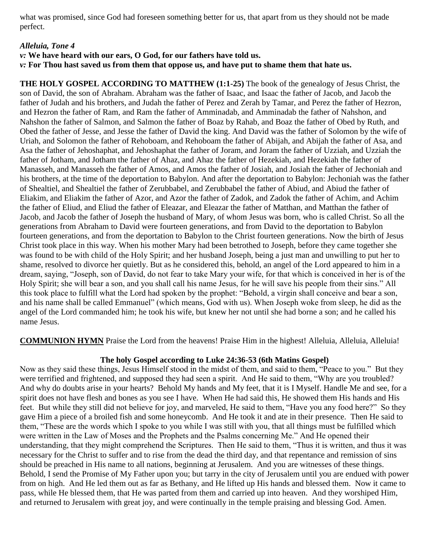what was promised, since God had foreseen something better for us, that apart from us they should not be made perfect.

### *Alleluia, Tone 4*

### *v:* **We have heard with our ears, O God, for our fathers have told us.**

*v:* **For Thou hast saved us from them that oppose us, and have put to shame them that hate us.**

**THE HOLY GOSPEL ACCORDING TO MATTHEW (1:1-25)** The book of the genealogy of Jesus Christ, the son of David, the son of Abraham. Abraham was the father of Isaac, and Isaac the father of Jacob, and Jacob the father of Judah and his brothers, and Judah the father of Perez and Zerah by Tamar, and Perez the father of Hezron, and Hezron the father of Ram, and Ram the father of Amminadab, and Amminadab the father of Nahshon, and Nahshon the father of Salmon, and Salmon the father of Boaz by Rahab, and Boaz the father of Obed by Ruth, and Obed the father of Jesse, and Jesse the father of David the king. And David was the father of Solomon by the wife of Uriah, and Solomon the father of Rehoboam, and Rehoboam the father of Abijah, and Abijah the father of Asa, and Asa the father of Jehoshaphat, and Jehoshaphat the father of Joram, and Joram the father of Uzziah, and Uzziah the father of Jotham, and Jotham the father of Ahaz, and Ahaz the father of Hezekiah, and Hezekiah the father of Manasseh, and Manasseh the father of Amos, and Amos the father of Josiah, and Josiah the father of Jechoniah and his brothers, at the time of the deportation to Babylon. And after the deportation to Babylon: Jechoniah was the father of Shealtiel, and Shealtiel the father of Zerubbabel, and Zerubbabel the father of Abiud, and Abiud the father of Eliakim, and Eliakim the father of Azor, and Azor the father of Zadok, and Zadok the father of Achim, and Achim the father of Eliud, and Eliud the father of Eleazar, and Eleazar the father of Matthan, and Matthan the father of Jacob, and Jacob the father of Joseph the husband of Mary, of whom Jesus was born, who is called Christ. So all the generations from Abraham to David were fourteen generations, and from David to the deportation to Babylon fourteen generations, and from the deportation to Babylon to the Christ fourteen generations. Now the birth of Jesus Christ took place in this way. When his mother Mary had been betrothed to Joseph, before they came together she was found to be with child of the Holy Spirit; and her husband Joseph, being a just man and unwilling to put her to shame, resolved to divorce her quietly. But as he considered this, behold, an angel of the Lord appeared to him in a dream, saying, "Joseph, son of David, do not fear to take Mary your wife, for that which is conceived in her is of the Holy Spirit; she will bear a son, and you shall call his name Jesus, for he will save his people from their sins." All this took place to fulfill what the Lord had spoken by the prophet: "Behold, a virgin shall conceive and bear a son, and his name shall be called Emmanuel" (which means, God with us). When Joseph woke from sleep, he did as the angel of the Lord commanded him; he took his wife, but knew her not until she had borne a son; and he called his name Jesus.

**COMMUNION HYMN** Praise the Lord from the heavens! Praise Him in the highest! Alleluia, Alleluia, Alleluia!

### **The holy Gospel according to Luke 24:36-53 (6th Matins Gospel)**

Now as they said these things, Jesus Himself stood in the midst of them, and said to them, "Peace to you." But they were terrified and frightened, and supposed they had seen a spirit. And He said to them, "Why are you troubled? And why do doubts arise in your hearts? Behold My hands and My feet, that it is I Myself. Handle Me and see, for a spirit does not have flesh and bones as you see I have. When He had said this, He showed them His hands and His feet. But while they still did not believe for joy, and marveled, He said to them, "Have you any food here?" So they gave Him a piece of a broiled fish and some honeycomb. And He took it and ate in their presence. Then He said to them, "These are the words which I spoke to you while I was still with you, that all things must be fulfilled which were written in the Law of Moses and the Prophets and the Psalms concerning Me." And He opened their understanding, that they might comprehend the Scriptures. Then He said to them, "Thus it is written, and thus it was necessary for the Christ to suffer and to rise from the dead the third day, and that repentance and remission of sins should be preached in His name to all nations, beginning at Jerusalem. And you are witnesses of these things. Behold, I send the Promise of My Father upon you; but tarry in the city of Jerusalem until you are endued with power from on high. And He led them out as far as Bethany, and He lifted up His hands and blessed them. Now it came to pass, while He blessed them, that He was parted from them and carried up into heaven. And they worshiped Him, and returned to Jerusalem with great joy, and were continually in the temple praising and blessing God. Amen.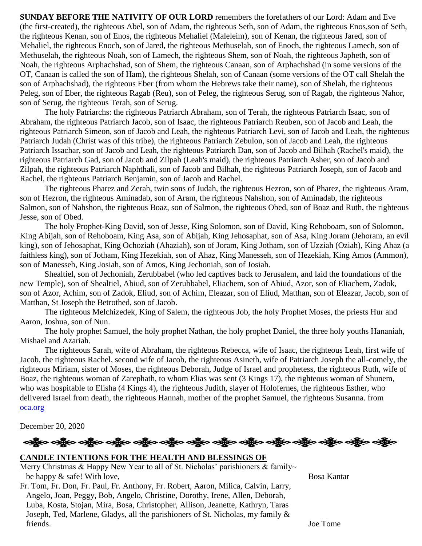**SUNDAY BEFORE THE NATIVITY OF OUR LORD** remembers the forefathers of our Lord: Adam and Eve (the first-created), the righteous Abel, son of Adam, the righteous Seth, son of Adam, the righteous Enos,son of Seth, the righteous Kenan, son of Enos, the righteous Mehaliel (Maleleim), son of Kenan, the righteous Jared, son of Mehaliel, the righteous Enoch, son of Jared, the righteous Methuselah, son of Enoch, the righteous Lamech, son of Methuselah, the righteous Noah, son of Lamech, the righteous Shem, son of Noah, the righteous Japheth, son of Noah, the righteous Arphachshad, son of Shem, the righteous Canaan, son of Arphachshad (in some versions of the OT, Canaan is called the son of Ham), the righteous Shelah, son of Canaan (some versions of the OT call Shelah the son of Arphachshad), the righteous Eber (from whom the Hebrews take their name), son of Shelah, the righteous Peleg, son of Eber, the righteous Ragab (Reu), son of Peleg, the righteous Serug, son of Ragab, the righteous Nahor, son of Serug, the righteous Terah, son of Serug.

The holy Patriarchs: the righteous Patriarch Abraham, son of Terah, the righteous Patriarch Isaac, son of Abraham, the righteous Patriarch Jacob, son of Isaac, the righteous Patriarch Reuben, son of Jacob and Leah, the righteous Patriarch Simeon, son of Jacob and Leah, the righteous Patriarch Levi, son of Jacob and Leah, the righteous Patriarch Judah (Christ was of this tribe), the righteous Patriarch Zebulon, son of Jacob and Leah, the righteous Patriarch Issachar, son of Jacob and Leah, the righteous Patriarch Dan, son of Jacob and Bilhah (Rachel's maid), the righteous Patriarch Gad, son of Jacob and Zilpah (Leah's maid), the righteous Patriarch Asher, son of Jacob and Zilpah, the righteous Patriarch Naphthali, son of Jacob and Bilhah, the righteous Patriarch Joseph, son of Jacob and Rachel, the righteous Patriarch Benjamin, son of Jacob and Rachel.

The righteous Pharez and Zerah, twin sons of Judah, the righteous Hezron, son of Pharez, the righteous Aram, son of Hezron, the righteous Aminadab, son of Aram, the righteous Nahshon, son of Aminadab, the righteous Salmon, son of Nahshon, the righteous Boaz, son of Salmon, the righteous Obed, son of Boaz and Ruth, the righteous Jesse, son of Obed.

The holy Prophet-King David, son of Jesse, King Solomon, son of David, King Rehoboam, son of Solomon, King Abijah, son of Rehoboam, King Asa, son of Abijah, King Jehosaphat, son of Asa, King Joram (Jehoram, an evil king), son of Jehosaphat, King Ochoziah (Ahaziah), son of Joram, King Jotham, son of Uzziah (Oziah), King Ahaz (a faithless king), son of Jotham, King Hezekiah, son of Ahaz, King Manesseh, son of Hezekiah, King Amos (Ammon), son of Manesseh, King Josiah, son of Amos, King Jechoniah, son of Josiah.

Shealtiel, son of Jechoniah, Zerubbabel (who led captives back to Jerusalem, and laid the foundations of the new Temple), son of Shealtiel, Abiud, son of Zerubbabel, Eliachem, son of Abiud, Azor, son of Eliachem, Zadok, son of Azor, Achim, son of Zadok, Eliud, son of Achim, Eleazar, son of Eliud, Matthan, son of Eleazar, Jacob, son of Matthan, St Joseph the Betrothed, son of Jacob.

The righteous Melchizedek, King of Salem, the righteous Job, the holy Prophet Moses, the priests Hur and Aaron, Joshua, son of Nun.

The holy prophet Samuel, the holy prophet Nathan, the holy prophet Daniel, the three holy youths Hananiah, Mishael and Azariah.

The righteous Sarah, wife of Abraham, the righteous Rebecca, wife of Isaac, the righteous Leah, first wife of Jacob, the righteous Rachel, second wife of Jacob, the righteous Asineth, wife of Patriarch Joseph the all-comely, the righteous Miriam, sister of Moses, the righteous Deborah, Judge of Israel and prophetess, the righteous Ruth, wife of Boaz, the righteous woman of Zarephath, to whom Elias was sent (3 Kings 17), the righteous woman of Shunem, who was hospitable to Elisha (4 Kings 4), the righteous Judith, slayer of Holofernes, the righteous Esther, who delivered Israel from death, the righteous Hannah, mother of the prophet Samuel, the righteous Susanna. from [oca.org](https://www.oca.org/saints/lives/2020/12/20/81-sunday-before-the-nativity)

#### December 20, 2020



### **CANDLE INTENTIONS FOR THE HEALTH AND BLESSINGS OF**

Merry Christmas & Happy New Year to all of St. Nicholas' parishioners & family~ be happy & safe! With love, and the same state of the same state of the same state of the same state of the same state of the same state of the same state of the same state of the same state of the same state of the same s

Fr. Tom, Fr. Don, Fr. Paul, Fr. Anthony, Fr. Robert, Aaron, Milica, Calvin, Larry, Angelo, Joan, Peggy, Bob, Angelo, Christine, Dorothy, Irene, Allen, Deborah, Luba, Kosta, Stojan, Mira, Bosa, Christopher, Allison, Jeanette, Kathryn, Taras Joseph, Ted, Marlene, Gladys, all the parishioners of St. Nicholas, my family & friends. Joe Tome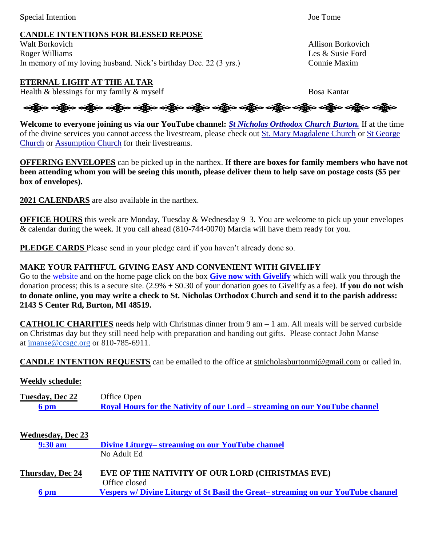Special Intention Joe Tome

# **CANDLE INTENTIONS FOR BLESSED REPOSE**

Walt Borkovich Allison Borkovich Roger Williams Les & Susie Ford In memory of my loving husband. Nick's birthday Dec. 22 (3 yrs.) Connie Maxim

# **ETERNAL LIGHT AT THE ALTAR**

Health & blessings for my family & myself Bosa Kantar

ခရွို့လ ခရွို့လ ခရွို့လ ခရွို့လ ခရွို့လ ခရွို့လ ခရွို့လ ခရွို့လ ခရွို့လ ခရွို့လ ခရွို့လ ခရွို့လ ခရွို့လ ခရွို့လ

**Welcome to everyone joining us via our YouTube channel:** *[St Nicholas Orthodox Church Burton.](https://www.youtube.com/channel/UC59tV-Re443z-GCoETAUvfA)* If at the time of the divine services you cannot access the livestream, please check out [St. Mary Magdalene Church](https://www.youtube.com/channel/UClHAqZrWkXdYELujbbIslHg) or [St George](https://www.youtube.com/channel/UCpLWfxMIJK4uQOV41ekE6Wg/videos?view=2&flow=grid)  [Church](https://www.youtube.com/channel/UCpLWfxMIJK4uQOV41ekE6Wg/videos?view=2&flow=grid) or [Assumption Church](https://www.facebook.com/AssumptionGrandBlanc/) for their livestreams.

**OFFERING ENVELOPES** can be picked up in the narthex. **If there are boxes for family members who have not been attending whom you will be seeing this month, please deliver them to help save on postage costs (\$5 per box of envelopes).**

**2021 CALENDARS** are also available in the narthex.

**OFFICE HOURS** this week are Monday, Tuesday & Wednesday 9–3. You are welcome to pick up your envelopes & calendar during the week. If you call ahead (810-744-0070) Marcia will have them ready for you.

**PLEDGE CARDS** Please send in your pledge card if you haven't already done so.

# **MAKE YOUR FAITHFUL GIVING EASY AND CONVENIENT WITH GIVELIFY**

Go to the [website](http://www.saintnicholasburton.org/) and on the home page click on the box **[Give now with Givelify](https://www.givelify.com/givenow/1.0/Mzc5MTg=/selection)** which will walk you through the donation process; this is a secure site. (2.9% + \$0.30 of your donation goes to Givelify as a fee). **If you do not wish to donate online, you may write a check to St. Nicholas Orthodox Church and send it to the parish address: 2143 S Center Rd, Burton, MI 48519.**

**CATHOLIC CHARITIES** needs help with Christmas dinner from 9 am – 1 am. All meals will be served curbside on Christmas day but they still need help with preparation and handing out gifts. Please contact John Manse at [jmanse@ccsgc.org](mailto:jmanse@ccsgc.org) or 810-785-6911.

**CANDLE INTENTION REQUESTS** can be emailed to the office at [stnicholasburtonmi@gmail.com](mailto:stnicholasburtonmi@gmail.com) or called in.

# **Weekly schedule:**

| Tuesday, Dec 22 | Office Open                                                                        |
|-----------------|------------------------------------------------------------------------------------|
| 6 pm            | <b>Royal Hours for the Nativity of our Lord – streaming on our YouTube channel</b> |

# **Wednesday, Dec 23 9:30 am Divine Liturgy– [streaming on our YouTube channel](https://www.youtube.com/watch?v=iOT0Ffw2ED4)** No Adult Ed **Thursday, Dec 24 EVE OF THE NATIVITY OF OUR LORD (CHRISTMAS EVE)** Office closed **[6 pm Vespers w/ Divine Liturgy of St Basil the Great–](https://www.youtube.com/watch?v=FwSLDTjlke8) streaming on our YouTube channel**